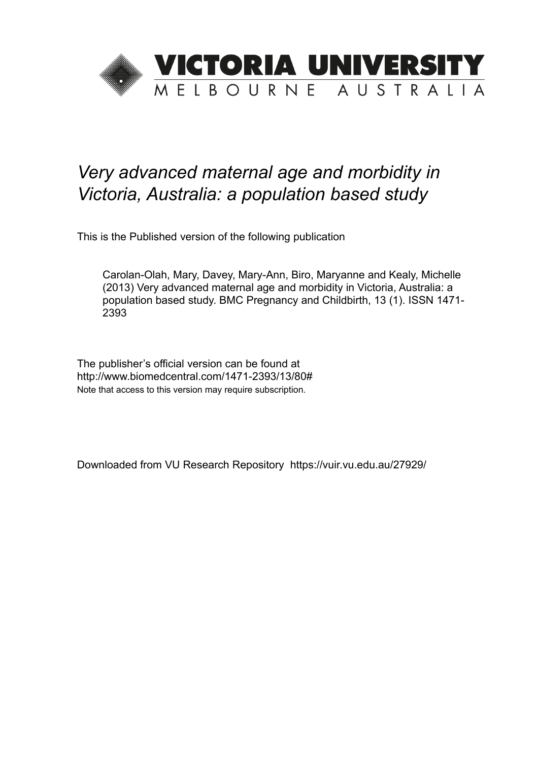

# *Very advanced maternal age and morbidity in Victoria, Australia: a population based study*

This is the Published version of the following publication

Carolan-Olah, Mary, Davey, Mary-Ann, Biro, Maryanne and Kealy, Michelle (2013) Very advanced maternal age and morbidity in Victoria, Australia: a population based study. BMC Pregnancy and Childbirth, 13 (1). ISSN 1471- 2393

The publisher's official version can be found at http://www.biomedcentral.com/1471-2393/13/80# Note that access to this version may require subscription.

Downloaded from VU Research Repository https://vuir.vu.edu.au/27929/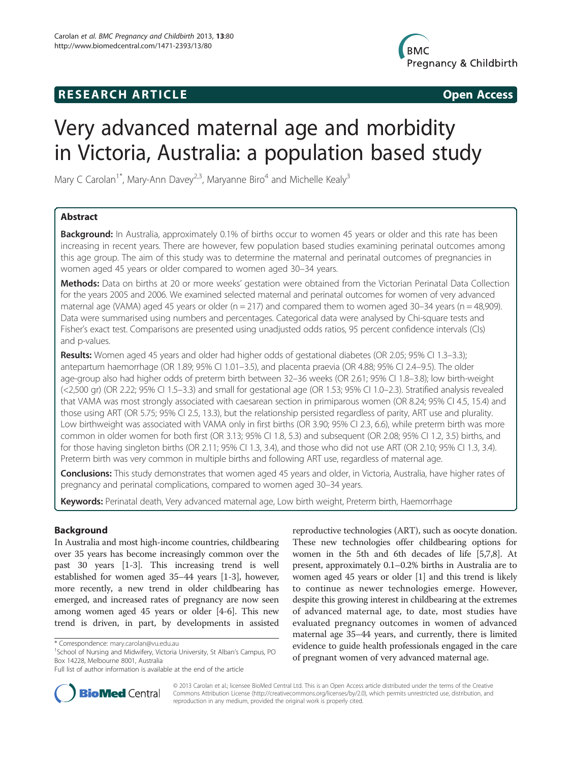# **RESEARCH ARTICLE Example 2014 The SEAR CH ACCESS**



# Very advanced maternal age and morbidity in Victoria, Australia: a population based study

Mary C Carolan<sup>1\*</sup>, Mary-Ann Davey<sup>2,3</sup>, Maryanne Biro<sup>4</sup> and Michelle Kealy<sup>3</sup>

# Abstract

**Background:** In Australia, approximately 0.1% of births occur to women 45 years or older and this rate has been increasing in recent years. There are however, few population based studies examining perinatal outcomes among this age group. The aim of this study was to determine the maternal and perinatal outcomes of pregnancies in women aged 45 years or older compared to women aged 30–34 years.

Methods: Data on births at 20 or more weeks' gestation were obtained from the Victorian Perinatal Data Collection for the years 2005 and 2006. We examined selected maternal and perinatal outcomes for women of very advanced maternal age (VAMA) aged 45 years or older ( $n = 217$ ) and compared them to women aged 30–34 years ( $n = 48,909$ ). Data were summarised using numbers and percentages. Categorical data were analysed by Chi-square tests and Fisher's exact test. Comparisons are presented using unadjusted odds ratios, 95 percent confidence intervals (CIs) and p-values.

Results: Women aged 45 years and older had higher odds of gestational diabetes (OR 2.05; 95% CI 1.3–3.3); antepartum haemorrhage (OR 1.89; 95% CI 1.01–3.5), and placenta praevia (OR 4.88; 95% CI 2.4–9.5). The older age-group also had higher odds of preterm birth between 32–36 weeks (OR 2.61; 95% CI 1.8–3.8); low birth-weight (<2,500 gr) (OR 2.22; 95% CI 1.5–3.3) and small for gestational age (OR 1.53; 95% CI 1.0–2.3). Stratified analysis revealed that VAMA was most strongly associated with caesarean section in primiparous women (OR 8.24; 95% CI 4.5, 15.4) and those using ART (OR 5.75; 95% CI 2.5, 13.3), but the relationship persisted regardless of parity, ART use and plurality. Low birthweight was associated with VAMA only in first births (OR 3.90; 95% CI 2.3, 6.6), while preterm birth was more common in older women for both first (OR 3.13; 95% CI 1.8, 5.3) and subsequent (OR 2.08; 95% CI 1.2, 3.5) births, and for those having singleton births (OR 2.11; 95% CI 1.3, 3.4), and those who did not use ART (OR 2.10; 95% CI 1.3, 3.4). Preterm birth was very common in multiple births and following ART use, regardless of maternal age.

Conclusions: This study demonstrates that women aged 45 years and older, in Victoria, Australia, have higher rates of pregnancy and perinatal complications, compared to women aged 30–34 years.

Keywords: Perinatal death, Very advanced maternal age, Low birth weight, Preterm birth, Haemorrhage

# Background

In Australia and most high-income countries, childbearing over 35 years has become increasingly common over the past 30 years [\[1-3](#page-7-0)]. This increasing trend is well established for women aged 35–44 years [\[1-3](#page-7-0)], however, more recently, a new trend in older childbearing has emerged, and increased rates of pregnancy are now seen among women aged 45 years or older [\[4](#page-7-0)-[6](#page-7-0)]. This new trend is driven, in part, by developments in assisted

reproductive technologies (ART), such as oocyte donation. These new technologies offer childbearing options for women in the 5th and 6th decades of life [\[5,7,8\]](#page-7-0). At present, approximately 0.1–0.2% births in Australia are to women aged 45 years or older [[1](#page-7-0)] and this trend is likely to continue as newer technologies emerge. However, despite this growing interest in childbearing at the extremes of advanced maternal age, to date, most studies have evaluated pregnancy outcomes in women of advanced maternal age 35–44 years, and currently, there is limited evidence to guide health professionals engaged in the care of pregnant women of very advanced maternal age.



© 2013 Carolan et al.; licensee BioMed Central Ltd. This is an Open Access article distributed under the terms of the Creative Commons Attribution License [\(http://creativecommons.org/licenses/by/2.0\)](http://creativecommons.org/licenses/by/2.0), which permits unrestricted use, distribution, and reproduction in any medium, provided the original work is properly cited.

<sup>\*</sup> Correspondence: [mary.carolan@vu.edu.au](mailto:mary.carolan@vu.edu.au) <sup>1</sup>

<sup>&</sup>lt;sup>1</sup>School of Nursing and Midwifery, Victoria University, St Alban's Campus, PO Box 14228, Melbourne 8001, Australia

Full list of author information is available at the end of the article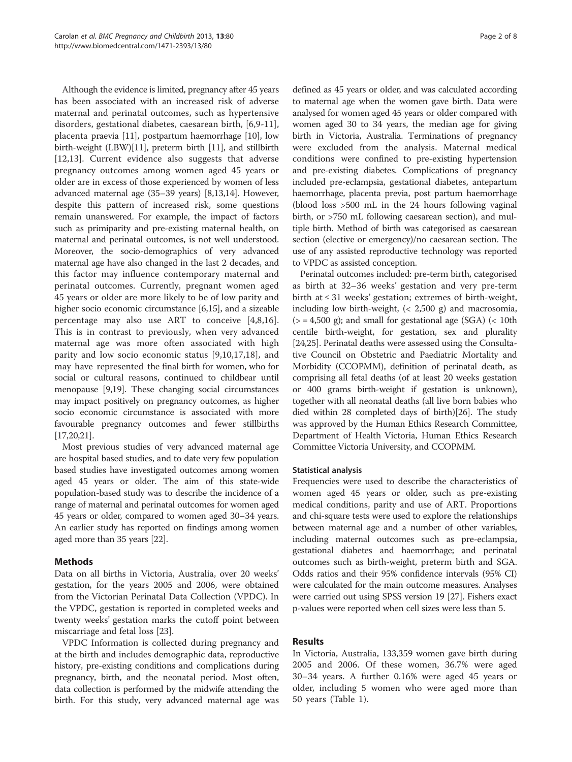Although the evidence is limited, pregnancy after 45 years has been associated with an increased risk of adverse maternal and perinatal outcomes, such as hypertensive disorders, gestational diabetes, caesarean birth, [\[6,9-11](#page-7-0)], placenta praevia [\[11\]](#page-7-0), postpartum haemorrhage [[10](#page-7-0)], low birth-weight (LBW)[\[11\]](#page-7-0), preterm birth [\[11\]](#page-7-0), and stillbirth [[12,13](#page-7-0)]. Current evidence also suggests that adverse pregnancy outcomes among women aged 45 years or older are in excess of those experienced by women of less advanced maternal age (35–39 years) [\[8,13,14](#page-7-0)]. However, despite this pattern of increased risk, some questions remain unanswered. For example, the impact of factors such as primiparity and pre-existing maternal health, on maternal and perinatal outcomes, is not well understood. Moreover, the socio-demographics of very advanced maternal age have also changed in the last 2 decades, and this factor may influence contemporary maternal and perinatal outcomes. Currently, pregnant women aged 45 years or older are more likely to be of low parity and higher socio economic circumstance [[6,15](#page-7-0)], and a sizeable percentage may also use ART to conceive [[4,8,16](#page-7-0)]. This is in contrast to previously, when very advanced maternal age was more often associated with high parity and low socio economic status [[9,10](#page-7-0),[17,18\]](#page-7-0), and may have represented the final birth for women, who for social or cultural reasons, continued to childbear until menopause [\[9,19\]](#page-7-0). These changing social circumstances may impact positively on pregnancy outcomes, as higher socio economic circumstance is associated with more favourable pregnancy outcomes and fewer stillbirths [[17,20](#page-7-0)[,21\]](#page-8-0).

Most previous studies of very advanced maternal age are hospital based studies, and to date very few population based studies have investigated outcomes among women aged 45 years or older. The aim of this state-wide population-based study was to describe the incidence of a range of maternal and perinatal outcomes for women aged 45 years or older, compared to women aged 30–34 years. An earlier study has reported on findings among women aged more than 35 years [\[22\]](#page-8-0).

# Methods

Data on all births in Victoria, Australia, over 20 weeks' gestation, for the years 2005 and 2006, were obtained from the Victorian Perinatal Data Collection (VPDC). In the VPDC, gestation is reported in completed weeks and twenty weeks' gestation marks the cutoff point between miscarriage and fetal loss [[23\]](#page-8-0).

VPDC Information is collected during pregnancy and at the birth and includes demographic data, reproductive history, pre-existing conditions and complications during pregnancy, birth, and the neonatal period. Most often, data collection is performed by the midwife attending the birth. For this study, very advanced maternal age was defined as 45 years or older, and was calculated according to maternal age when the women gave birth. Data were analysed for women aged 45 years or older compared with women aged 30 to 34 years, the median age for giving birth in Victoria, Australia. Terminations of pregnancy were excluded from the analysis. Maternal medical conditions were confined to pre-existing hypertension and pre-existing diabetes. Complications of pregnancy included pre-eclampsia, gestational diabetes, antepartum haemorrhage, placenta previa, post partum haemorrhage (blood loss >500 mL in the 24 hours following vaginal birth, or >750 mL following caesarean section), and multiple birth. Method of birth was categorised as caesarean section (elective or emergency)/no caesarean section. The use of any assisted reproductive technology was reported to VPDC as assisted conception.

Perinatal outcomes included: pre-term birth, categorised as birth at 32–36 weeks' gestation and very pre-term birth at ≤ 31 weeks' gestation; extremes of birth-weight, including low birth-weight,  $\left($  < 2,500 g) and macrosomia,  $(>= 4,500 \text{ g})$ ; and small for gestational age (SGA)  $(< 10$ th centile birth-weight, for gestation, sex and plurality [[24](#page-8-0),[25](#page-8-0)]. Perinatal deaths were assessed using the Consultative Council on Obstetric and Paediatric Mortality and Morbidity (CCOPMM), definition of perinatal death, as comprising all fetal deaths (of at least 20 weeks gestation or 400 grams birth-weight if gestation is unknown), together with all neonatal deaths (all live born babies who died within 28 completed days of birth)[\[26\]](#page-8-0). The study was approved by the Human Ethics Research Committee, Department of Health Victoria, Human Ethics Research Committee Victoria University, and CCOPMM.

# Statistical analysis

Frequencies were used to describe the characteristics of women aged 45 years or older, such as pre-existing medical conditions, parity and use of ART. Proportions and chi-square tests were used to explore the relationships between maternal age and a number of other variables, including maternal outcomes such as pre-eclampsia, gestational diabetes and haemorrhage; and perinatal outcomes such as birth-weight, preterm birth and SGA. Odds ratios and their 95% confidence intervals (95% CI) were calculated for the main outcome measures. Analyses were carried out using SPSS version 19 [[27\]](#page-8-0). Fishers exact p-values were reported when cell sizes were less than 5.

# Results

In Victoria, Australia, 133,359 women gave birth during 2005 and 2006. Of these women, 36.7% were aged 30–34 years. A further 0.16% were aged 45 years or older, including 5 women who were aged more than 50 years (Table [1](#page-3-0)).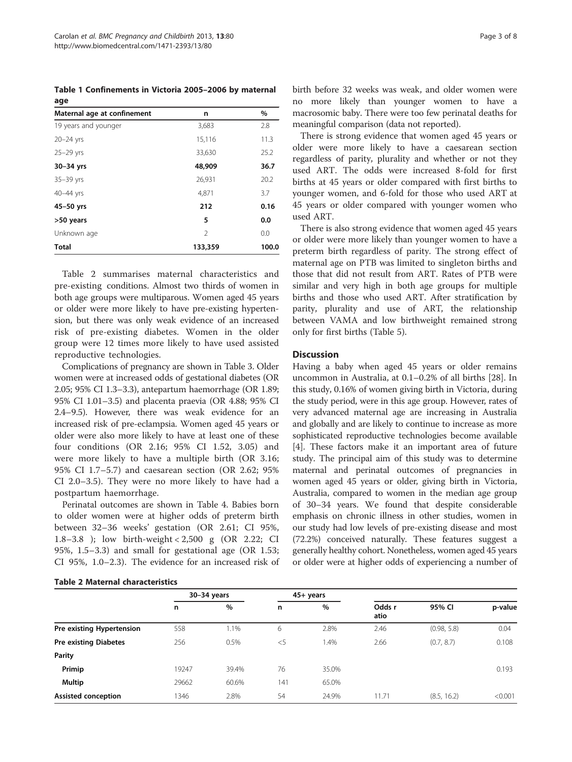<span id="page-3-0"></span>Table 1 Confinements in Victoria 2005–2006 by maternal age

| Maternal age at confinement | n              | %     |
|-----------------------------|----------------|-------|
| 19 years and younger        | 3,683          | 2.8   |
| $20 - 24$ yrs               | 15,116         | 11.3  |
| $25-29$ yrs                 | 33,630         | 25.2  |
| $30-34$ yrs                 | 48,909         | 36.7  |
| 35-39 yrs                   | 26,931         | 20.2  |
| 40-44 yrs                   | 4,871          | 3.7   |
| $45-50$ yrs                 | 212            | 0.16  |
| >50 years                   | 5              | 0.0   |
| Unknown age                 | $\mathfrak{D}$ | 0.0   |
| <b>Total</b>                | 133,359        | 100.0 |

Table 2 summarises maternal characteristics and pre-existing conditions. Almost two thirds of women in both age groups were multiparous. Women aged 45 years or older were more likely to have pre-existing hypertension, but there was only weak evidence of an increased risk of pre-existing diabetes. Women in the older group were 12 times more likely to have used assisted reproductive technologies.

Complications of pregnancy are shown in Table [3.](#page-4-0) Older women were at increased odds of gestational diabetes (OR 2.05; 95% CI 1.3–3.3), antepartum haemorrhage (OR 1.89; 95% CI 1.01–3.5) and placenta praevia (OR 4.88; 95% CI 2.4–9.5). However, there was weak evidence for an increased risk of pre-eclampsia. Women aged 45 years or older were also more likely to have at least one of these four conditions (OR 2.16; 95% CI 1.52, 3.05) and were more likely to have a multiple birth (OR 3.16; 95% CI 1.7–5.7) and caesarean section (OR 2.62; 95% CI 2.0–3.5). They were no more likely to have had a postpartum haemorrhage.

Perinatal outcomes are shown in Table [4.](#page-4-0) Babies born to older women were at higher odds of preterm birth between 32–36 weeks' gestation (OR 2.61; CI 95%, 1.8–3.8 ); low birth-weight < 2,500 g (OR 2.22; CI 95%, 1.5–3.3) and small for gestational age (OR 1.53; CI 95%, 1.0–2.3). The evidence for an increased risk of birth before 32 weeks was weak, and older women were no more likely than younger women to have a macrosomic baby. There were too few perinatal deaths for meaningful comparison (data not reported).

There is strong evidence that women aged 45 years or older were more likely to have a caesarean section regardless of parity, plurality and whether or not they used ART. The odds were increased 8-fold for first births at 45 years or older compared with first births to younger women, and 6-fold for those who used ART at 45 years or older compared with younger women who used ART.

There is also strong evidence that women aged 45 years or older were more likely than younger women to have a preterm birth regardless of parity. The strong effect of maternal age on PTB was limited to singleton births and those that did not result from ART. Rates of PTB were similar and very high in both age groups for multiple births and those who used ART. After stratification by parity, plurality and use of ART, the relationship between VAMA and low birthweight remained strong only for first births (Table [5](#page-5-0)).

# **Discussion**

Having a baby when aged 45 years or older remains uncommon in Australia, at 0.1–0.2% of all births [[28\]](#page-8-0). In this study, 0.16% of women giving birth in Victoria, during the study period, were in this age group. However, rates of very advanced maternal age are increasing in Australia and globally and are likely to continue to increase as more sophisticated reproductive technologies become available [[4\]](#page-7-0). These factors make it an important area of future study. The principal aim of this study was to determine maternal and perinatal outcomes of pregnancies in women aged 45 years or older, giving birth in Victoria, Australia, compared to women in the median age group of 30–34 years. We found that despite considerable emphasis on chronic illness in other studies, women in our study had low levels of pre-existing disease and most (72.2%) conceived naturally. These features suggest a generally healthy cohort. Nonetheless, women aged 45 years or older were at higher odds of experiencing a number of

|                              | $30-34$ years |       | $45+$ years |       |                |             |         |
|------------------------------|---------------|-------|-------------|-------|----------------|-------------|---------|
|                              | n             | $\%$  | n           | $\%$  | Odds r<br>atio | 95% CI      | p-value |
| Pre existing Hypertension    | 558           | 1.1%  | 6           | 2.8%  | 2.46           | (0.98, 5.8) | 0.04    |
| <b>Pre existing Diabetes</b> | 256           | 0.5%  | $<$ 5       | 1.4%  | 2.66           | (0.7, 8.7)  | 0.108   |
| Parity                       |               |       |             |       |                |             |         |
| Primip                       | 19247         | 39.4% | 76          | 35.0% |                |             | 0.193   |
| <b>Multip</b>                | 29662         | 60.6% | 141         | 65.0% |                |             |         |
| Assisted conception          | 1346          | 2.8%  | 54          | 24.9% | 11.71          | (8.5, 16.2) | < 0.001 |

Table 2 Maternal characteristics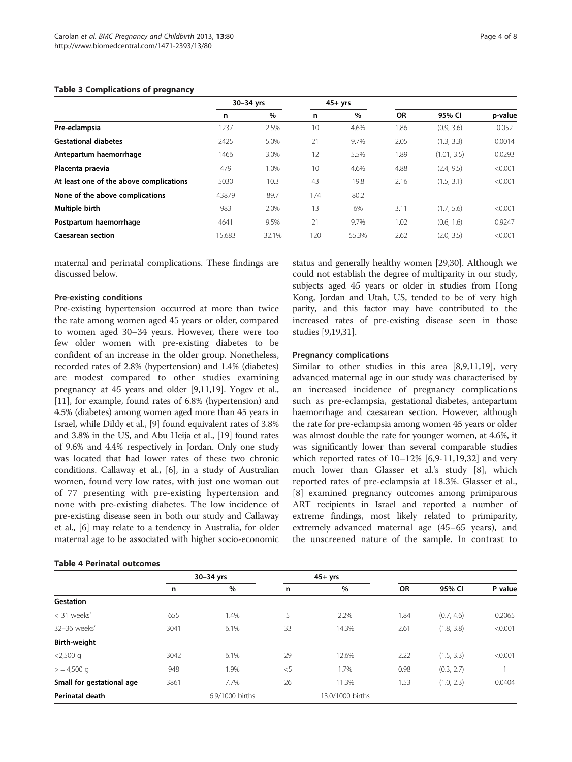#### <span id="page-4-0"></span>Table 3 Complications of pregnancy

| $30-34$ yrs |       |     | $45+$ yrs |           |             |         |
|-------------|-------|-----|-----------|-----------|-------------|---------|
| n           | %     | n   | %         | <b>OR</b> | 95% CI      | p-value |
| 1237        | 2.5%  | 10  | 4.6%      | 1.86      | (0.9, 3.6)  | 0.052   |
| 2425        | 5.0%  | 21  | 9.7%      | 2.05      | (1.3, 3.3)  | 0.0014  |
| 1466        | 3.0%  | 12  | 5.5%      | 1.89      | (1.01, 3.5) | 0.0293  |
| 479         | 1.0%  | 10  | 4.6%      | 4.88      | (2.4, 9.5)  | < 0.001 |
| 5030        | 10.3  | 43  | 19.8      | 2.16      | (1.5, 3.1)  | < 0.001 |
| 43879       | 89.7  | 174 | 80.2      |           |             |         |
| 983         | 2.0%  | 13  | 6%        | 3.11      | (1.7, 5.6)  | < 0.001 |
| 4641        | 9.5%  | 21  | 9.7%      | 1.02      | (0.6, 1.6)  | 0.9247  |
| 15,683      | 32.1% | 120 | 55.3%     | 2.62      | (2.0, 3.5)  | < 0.001 |
|             |       |     |           |           |             |         |

maternal and perinatal complications. These findings are discussed below.

### Pre-existing conditions

Pre-existing hypertension occurred at more than twice the rate among women aged 45 years or older, compared to women aged 30–34 years. However, there were too few older women with pre-existing diabetes to be confident of an increase in the older group. Nonetheless, recorded rates of 2.8% (hypertension) and 1.4% (diabetes) are modest compared to other studies examining pregnancy at 45 years and older [[9](#page-7-0),[11,19\]](#page-7-0). Yogev et al., [[11](#page-7-0)], for example, found rates of 6.8% (hypertension) and 4.5% (diabetes) among women aged more than 45 years in Israel, while Dildy et al., [[9](#page-7-0)] found equivalent rates of 3.8% and 3.8% in the US, and Abu Heija et al., [\[19\]](#page-7-0) found rates of 9.6% and 4.4% respectively in Jordan. Only one study was located that had lower rates of these two chronic conditions. Callaway et al., [\[6](#page-7-0)], in a study of Australian women, found very low rates, with just one woman out of 77 presenting with pre-existing hypertension and none with pre-existing diabetes. The low incidence of pre-existing disease seen in both our study and Callaway et al., [\[6](#page-7-0)] may relate to a tendency in Australia, for older maternal age to be associated with higher socio-economic

#### Table 4 Perinatal outcomes

status and generally healthy women [[29,30\]](#page-8-0). Although we could not establish the degree of multiparity in our study, subjects aged 45 years or older in studies from Hong Kong, Jordan and Utah, US, tended to be of very high parity, and this factor may have contributed to the increased rates of pre-existing disease seen in those studies [\[9,19,](#page-7-0)[31](#page-8-0)].

#### Pregnancy complications

Similar to other studies in this area [[8,9,11,19\]](#page-7-0), very advanced maternal age in our study was characterised by an increased incidence of pregnancy complications such as pre-eclampsia, gestational diabetes, antepartum haemorrhage and caesarean section. However, although the rate for pre-eclampsia among women 45 years or older was almost double the rate for younger women, at 4.6%, it was significantly lower than several comparable studies which reported rates of  $10-12\%$  [[6,9](#page-7-0)-[11,19,](#page-7-0)[32](#page-8-0)] and very much lower than Glasser et al.'s study [\[8](#page-7-0)], which reported rates of pre-eclampsia at 18.3%. Glasser et al., [[8](#page-7-0)] examined pregnancy outcomes among primiparous ART recipients in Israel and reported a number of extreme findings, most likely related to primiparity, extremely advanced maternal age (45–65 years), and the unscreened nature of the sample. In contrast to

|                           | 30-34 yrs |                 |       | $45+$ yrs        |           |            |         |
|---------------------------|-----------|-----------------|-------|------------------|-----------|------------|---------|
|                           | n         | $\%$            | n     | $\%$             | <b>OR</b> | 95% CI     | P value |
| Gestation                 |           |                 |       |                  |           |            |         |
| < 31 weeks'               | 655       | 1.4%            | 5     | 2.2%             | 1.84      | (0.7, 4.6) | 0.2065  |
| 32-36 weeks'              | 3041      | 6.1%            | 33    | 14.3%            | 2.61      | (1.8, 3.8) | < 0.001 |
| <b>Birth-weight</b>       |           |                 |       |                  |           |            |         |
| $<$ 2,500 g               | 3042      | 6.1%            | 29    | 12.6%            | 2.22      | (1.5, 3.3) | < 0.001 |
| $>$ = 4,500 g             | 948       | 1.9%            | $<$ 5 | 1.7%             | 0.98      | (0.3, 2.7) |         |
| Small for gestational age | 3861      | 7.7%            | 26    | 11.3%            | 1.53      | (1.0, 2.3) | 0.0404  |
| Perinatal death           |           | 6.9/1000 births |       | 13.0/1000 births |           |            |         |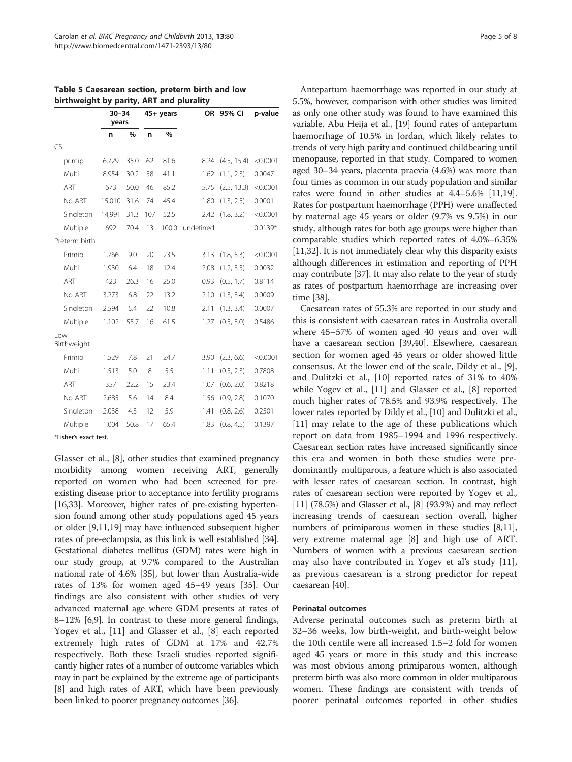|                    |        | $30 - 34$<br>45+ years<br>years |     | OR    | 95% CI    | p-value     |           |
|--------------------|--------|---------------------------------|-----|-------|-----------|-------------|-----------|
|                    | n      | %                               | n   | %     |           |             |           |
| CS                 |        |                                 |     |       |           |             |           |
| primip             | 6,729  | 35.0                            | 62  | 81.6  | 8.24      | (4.5, 15.4) | < 0.0001  |
| Multi              | 8,954  | 30.2                            | 58  | 41.1  | 1.62      | (1.1, 2.3)  | 0.0047    |
| ART                | 673    | 50.0                            | 46  | 85.2  | 5.75      | (2.5, 13.3) | < 0.0001  |
| No ART             | 15,010 | 31.6                            | 74  | 45.4  | 1.80      | (1.3, 2.5)  | 0.0001    |
| Singleton          | 14,991 | 31.3                            | 107 | 52.5  | 2.42      | (1.8, 3.2)  | < 0.0001  |
| Multiple           | 692    | 70.4                            | 13  | 100.0 | undefined |             | $0.0139*$ |
| Preterm birth      |        |                                 |     |       |           |             |           |
| Primip             | 1,766  | 9.0                             | 20  | 23.5  | 3.13      | (1.8, 5.3)  | < 0.0001  |
| Multi              | 1,930  | 6.4                             | 18  | 12.4  | 2.08      | (1.2, 3.5)  | 0.0032    |
| ART                | 423    | 26.3                            | 16  | 25.0  | 0.93      | (0.5, 1.7)  | 0.8114    |
| No ART             | 3,273  | 6.8                             | 22  | 13.2  | 2.10      | (1.3, 3.4)  | 0.0009    |
| Singleton          | 2,594  | 5.4                             | 22  | 10.8  | 2.11      | (1.3, 3.4)  | 0.0007    |
| Multiple           | 1,102  | 55.7                            | 16  | 61.5  | 1.27      | (0.5, 3.0)  | 0.5486    |
| Low<br>Birthweight |        |                                 |     |       |           |             |           |
| Primip             | 1,529  | 7.8                             | 21  | 24.7  | 3.90      | (2.3, 6.6)  | < 0.0001  |
| Multi              | 1,513  | 5.0                             | 8   | 5.5   | 1.11      | (0.5, 2.3)  | 0.7808    |
| ART                | 357    | 22.2                            | 15  | 23.4  | 1.07      | (0.6, 2.0)  | 0.8218    |
| No ART             | 2,685  | 5.6                             | 14  | 8.4   | 1.56      | (0.9, 2.8)  | 0.1070    |
| Singleton          | 2,038  | 4.3                             | 12  | 5.9   | 1.41      | (0.8, 2.6)  | 0.2501    |
| Multiple           | 1,004  | 50.8                            | 17  | 65.4  | 1.83      | (0.8, 4.5)  | 0.1397    |

<span id="page-5-0"></span>Table 5 Caesarean section, preterm birth and low birthweight by parity, ART and plurality

\*Fisher's exact test.

Glasser et al., [[8\]](#page-7-0), other studies that examined pregnancy morbidity among women receiving ART, generally reported on women who had been screened for preexisting disease prior to acceptance into fertility programs [[16](#page-7-0)[,33](#page-8-0)]. Moreover, higher rates of pre-existing hypertension found among other study populations aged 45 years or older [[9,11,19\]](#page-7-0) may have influenced subsequent higher rates of pre-eclampsia, as this link is well established [[34](#page-8-0)]. Gestational diabetes mellitus (GDM) rates were high in our study group, at 9.7% compared to the Australian national rate of 4.6% [[35\]](#page-8-0), but lower than Australia-wide rates of 13% for women aged 45–49 years [[35](#page-8-0)]. Our findings are also consistent with other studies of very advanced maternal age where GDM presents at rates of 8–12% [\[6,9\]](#page-7-0). In contrast to these more general findings, Yogev et al., [\[11](#page-7-0)] and Glasser et al., [[8\]](#page-7-0) each reported extremely high rates of GDM at 17% and 42.7% respectively. Both these Israeli studies reported significantly higher rates of a number of outcome variables which may in part be explained by the extreme age of participants [[8\]](#page-7-0) and high rates of ART, which have been previously been linked to poorer pregnancy outcomes [[36](#page-8-0)].

Antepartum haemorrhage was reported in our study at 5.5%, however, comparison with other studies was limited as only one other study was found to have examined this variable. Abu Heija et al., [[19](#page-7-0)] found rates of antepartum haemorrhage of 10.5% in Jordan, which likely relates to trends of very high parity and continued childbearing until menopause, reported in that study. Compared to women aged 30–34 years, placenta praevia (4.6%) was more than four times as common in our study population and similar rates were found in other studies at 4.4–5.6% [\[11,19](#page-7-0)]. Rates for postpartum haemorrhage (PPH) were unaffected by maternal age 45 years or older (9.7% vs 9.5%) in our study, although rates for both age groups were higher than comparable studies which reported rates of 4.0%–6.35% [[11](#page-7-0),[32](#page-8-0)]. It is not immediately clear why this disparity exists although differences in estimation and reporting of PPH may contribute [[37](#page-8-0)]. It may also relate to the year of study as rates of postpartum haemorrhage are increasing over time [\[38](#page-8-0)].

Caesarean rates of 55.3% are reported in our study and this is consistent with caesarean rates in Australia overall where 45–57% of women aged 40 years and over will have a caesarean section [\[39,40\]](#page-8-0). Elsewhere, caesarean section for women aged 45 years or older showed little consensus. At the lower end of the scale, Dildy et al., [\[9](#page-7-0)], and Dulitzki et al., [\[10](#page-7-0)] reported rates of 31% to 40% while Yogev et al., [[11\]](#page-7-0) and Glasser et al., [\[8](#page-7-0)] reported much higher rates of 78.5% and 93.9% respectively. The lower rates reported by Dildy et al., [\[10](#page-7-0)] and Dulitzki et al., [[11](#page-7-0)] may relate to the age of these publications which report on data from 1985–1994 and 1996 respectively. Caesarean section rates have increased significantly since this era and women in both these studies were predominantly multiparous, a feature which is also associated with lesser rates of caesarean section. In contrast, high rates of caesarean section were reported by Yogev et al., [[11](#page-7-0)] (78.5%) and Glasser et al., [\[8\]](#page-7-0) (93.9%) and may reflect increasing trends of caesarean section overall, higher numbers of primiparous women in these studies [[8,11](#page-7-0)], very extreme maternal age [\[8\]](#page-7-0) and high use of ART. Numbers of women with a previous caesarean section may also have contributed in Yogev et al's study [\[11](#page-7-0)], as previous caesarean is a strong predictor for repeat caesarean [[40\]](#page-8-0).

### Perinatal outcomes

Adverse perinatal outcomes such as preterm birth at 32–36 weeks, low birth-weight, and birth-weight below the 10th centile were all increased 1.5–2 fold for women aged 45 years or more in this study and this increase was most obvious among primiparous women, although preterm birth was also more common in older multiparous women. These findings are consistent with trends of poorer perinatal outcomes reported in other studies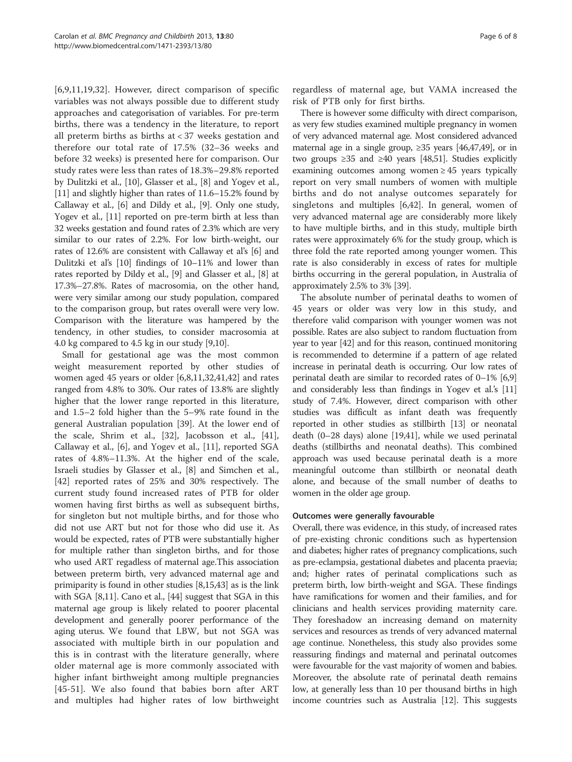[[6,9,11](#page-7-0),[19,](#page-7-0)[32\]](#page-8-0). However, direct comparison of specific variables was not always possible due to different study approaches and categorisation of variables. For pre-term births, there was a tendency in the literature, to report all preterm births as births at < 37 weeks gestation and therefore our total rate of 17.5% (32–36 weeks and before 32 weeks) is presented here for comparison. Our study rates were less than rates of 18.3%–29.8% reported by Dulitzki et al., [[10\]](#page-7-0), Glasser et al., [[8\]](#page-7-0) and Yogev et al., [[11](#page-7-0)] and slightly higher than rates of 11.6–15.2% found by Callaway et al., [\[6](#page-7-0)] and Dildy et al., [[9\]](#page-7-0). Only one study, Yogev et al., [\[11](#page-7-0)] reported on pre-term birth at less than 32 weeks gestation and found rates of 2.3% which are very similar to our rates of 2.2%. For low birth-weight, our rates of 12.6% are consistent with Callaway et al's [\[6](#page-7-0)] and Dulitzki et al's [\[10\]](#page-7-0) findings of 10–11% and lower than rates reported by Dildy et al., [[9\]](#page-7-0) and Glasser et al., [[8\]](#page-7-0) at 17.3%–27.8%. Rates of macrosomia, on the other hand, were very similar among our study population, compared to the comparison group, but rates overall were very low. Comparison with the literature was hampered by the tendency, in other studies, to consider macrosomia at 4.0 kg compared to 4.5 kg in our study [[9,10](#page-7-0)].

Small for gestational age was the most common weight measurement reported by other studies of women aged 45 years or older [\[6,8,11](#page-7-0)[,32,41,42\]](#page-8-0) and rates ranged from 4.8% to 30%. Our rates of 13.8% are slightly higher that the lower range reported in this literature, and 1.5–2 fold higher than the 5–9% rate found in the general Australian population [\[39](#page-8-0)]. At the lower end of the scale, Shrim et al., [\[32](#page-8-0)], Jacobsson et al., [\[41](#page-8-0)], Callaway et al., [\[6](#page-7-0)], and Yogev et al., [\[11](#page-7-0)], reported SGA rates of 4.8%–11.3%. At the higher end of the scale, Israeli studies by Glasser et al., [\[8](#page-7-0)] and Simchen et al., [[42\]](#page-8-0) reported rates of 25% and 30% respectively. The current study found increased rates of PTB for older women having first births as well as subsequent births, for singleton but not multiple births, and for those who did not use ART but not for those who did use it. As would be expected, rates of PTB were substantially higher for multiple rather than singleton births, and for those who used ART regadless of maternal age.This association between preterm birth, very advanced maternal age and primiparity is found in other studies [[8,15](#page-7-0)[,43\]](#page-8-0) as is the link with SGA [[8,11](#page-7-0)]. Cano et al., [\[44](#page-8-0)] suggest that SGA in this maternal age group is likely related to poorer placental development and generally poorer performance of the aging uterus. We found that LBW, but not SGA was associated with multiple birth in our population and this is in contrast with the literature generally, where older maternal age is more commonly associated with higher infant birthweight among multiple pregnancies [[45-51\]](#page-8-0). We also found that babies born after ART and multiples had higher rates of low birthweight

regardless of maternal age, but VAMA increased the risk of PTB only for first births.

There is however some difficulty with direct comparison, as very few studies examined multiple pregnancy in women of very advanced maternal age. Most considered advanced maternal age in a single group,  $\geq$ 35 years [\[46,47,49](#page-8-0)], or in two groups ≥35 and ≥40 years [\[48,51](#page-8-0)]. Studies explicitly examining outcomes among women  $\geq 45$  years typically report on very small numbers of women with multiple births and do not analyse outcomes separately for singletons and multiples [\[6](#page-7-0)[,42\]](#page-8-0). In general, women of very advanced maternal age are considerably more likely to have multiple births, and in this study, multiple birth rates were approximately 6% for the study group, which is three fold the rate reported among younger women. This rate is also considerably in excess of rates for multiple births occurring in the gereral population, in Australia of approximately 2.5% to 3% [\[39](#page-8-0)].

The absolute number of perinatal deaths to women of 45 years or older was very low in this study, and therefore valid comparison with younger women was not possible. Rates are also subject to random fluctuation from year to year [[42](#page-8-0)] and for this reason, continued monitoring is recommended to determine if a pattern of age related increase in perinatal death is occurring. Our low rates of perinatal death are similar to recorded rates of 0–1% [\[6,9](#page-7-0)] and considerably less than findings in Yogev et al.'s [\[11](#page-7-0)] study of 7.4%. However, direct comparison with other studies was difficult as infant death was frequently reported in other studies as stillbirth [\[13\]](#page-7-0) or neonatal death (0–28 days) alone [[19](#page-7-0)[,41](#page-8-0)], while we used perinatal deaths (stillbirths and neonatal deaths). This combined approach was used because perinatal death is a more meaningful outcome than stillbirth or neonatal death alone, and because of the small number of deaths to women in the older age group.

### Outcomes were generally favourable

Overall, there was evidence, in this study, of increased rates of pre-existing chronic conditions such as hypertension and diabetes; higher rates of pregnancy complications, such as pre-eclampsia, gestational diabetes and placenta praevia; and; higher rates of perinatal complications such as preterm birth, low birth-weight and SGA. These findings have ramifications for women and their families, and for clinicians and health services providing maternity care. They foreshadow an increasing demand on maternity services and resources as trends of very advanced maternal age continue. Nonetheless, this study also provides some reassuring findings and maternal and perinatal outcomes were favourable for the vast majority of women and babies. Moreover, the absolute rate of perinatal death remains low, at generally less than 10 per thousand births in high income countries such as Australia [[12](#page-7-0)]. This suggests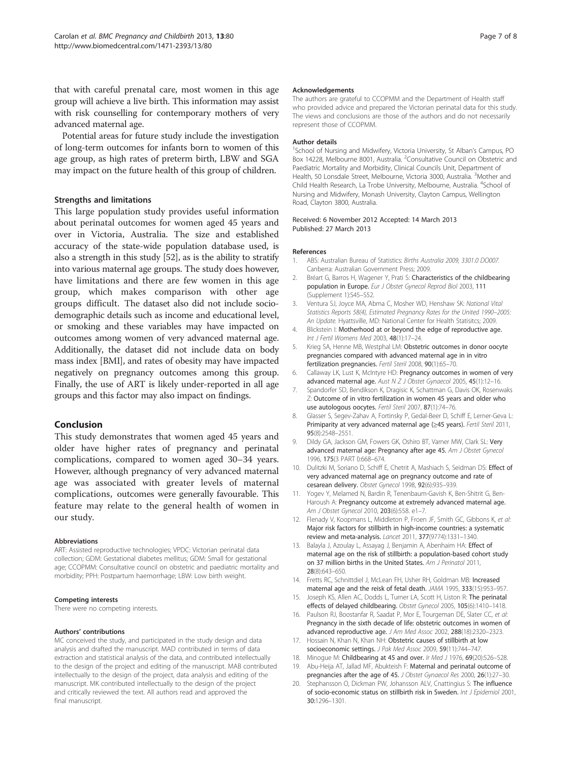<span id="page-7-0"></span>that with careful prenatal care, most women in this age group will achieve a live birth. This information may assist with risk counselling for contemporary mothers of very advanced maternal age.

Potential areas for future study include the investigation of long-term outcomes for infants born to women of this age group, as high rates of preterm birth, LBW and SGA may impact on the future health of this group of children.

# Strengths and limitations

This large population study provides useful information about perinatal outcomes for women aged 45 years and over in Victoria, Australia. The size and established accuracy of the state-wide population database used, is also a strength in this study [[52](#page-8-0)], as is the ability to stratify into various maternal age groups. The study does however, have limitations and there are few women in this age group, which makes comparison with other age groups difficult. The dataset also did not include sociodemographic details such as income and educational level, or smoking and these variables may have impacted on outcomes among women of very advanced maternal age. Additionally, the dataset did not include data on body mass index [BMI], and rates of obesity may have impacted negatively on pregnancy outcomes among this group. Finally, the use of ART is likely under-reported in all age groups and this factor may also impact on findings.

# Conclusion

This study demonstrates that women aged 45 years and older have higher rates of pregnancy and perinatal complications, compared to women aged 30–34 years. However, although pregnancy of very advanced maternal age was associated with greater levels of maternal complications, outcomes were generally favourable. This feature may relate to the general health of women in our study.

#### Abbreviations

ART: Assisted reproductive technologies; VPDC: Victorian perinatal data collection; GDM: Gestational diabetes mellitus; GDM: Small for gestational age; CCOPMM: Consultative council on obstetric and paediatric mortality and morbidity; PPH: Postpartum haemorrhage; LBW: Low birth weight.

#### Competing interests

There were no competing interests.

#### Authors' contributions

MC conceived the study, and participated in the study design and data analysis and drafted the manuscript. MAD contributed in terms of data extraction and statistical analysis of the data, and contributed intellectually to the design of the project and editing of the manuscript. MAB contributed intellectually to the design of the project, data analysis and editing of the manuscript. MK contributed intellectually to the design of the project and critically reviewed the text. All authors read and approved the final manuscript.

#### Acknowledgements

The authors are grateful to CCOPMM and the Department of Health staff who provided advice and prepared the Victorian perinatal data for this study. The views and conclusions are those of the authors and do not necessarily represent those of CCOPMM.

#### Author details

<sup>1</sup>School of Nursing and Midwifery, Victoria University, St Alban's Campus, PC Box 14228, Melbourne 8001, Australia. <sup>2</sup> Consultative Council on Obstetric and Paediatric Mortality and Morbidity, Clinical Councils Unit, Department of Health, 50 Lonsdale Street, Melbourne, Victoria 3000, Australia. <sup>3</sup>Mother and Child Health Research, La Trobe University, Melbourne, Australia. <sup>4</sup>School of Nursing and Midwifery, Monash University, Clayton Campus, Wellington Road, Clayton 3800, Australia.

#### Received: 6 November 2012 Accepted: 14 March 2013 Published: 27 March 2013

#### References

- 1. ABS: Australian Bureau of Statistics: Births Australia 2009, 3301.0 DO007. Canberra: Australian Government Press; 2009.
- 2. Bréart G, Barros H, Wagener Y, Prati S: Characteristics of the childbearing population in Europe. Eur J Obstet Gynecol Reprod Biol 2003, 111 (Supplement 1):S45–S52.
- 3. Ventura SJ, Joyce MA, Abma C, Mosher WD, Henshaw SK: National Vital Statistics Reports 58(4), Estimated Pregnancy Rates for the United 1990–2005: An Update. Hyattsville, MD: National Center for Health Statisitcs; 2009.
- Blickstein I: Motherhood at or beyond the edge of reproductive age. Int J Fertil Womens Med 2003, 48(1):17–24.
- 5. Krieg SA, Henne MB, Westphal LM: Obstetric outcomes in donor oocyte pregnancies compared with advanced maternal age in in vitro fertilization pregnancies. Fertil Steril 2008, 90(1):65–70.
- 6. Callaway LK, Lust K, McIntyre HD: Pregnancy outcomes in women of very advanced maternal age. Aust N Z J Obstet Gynaecol 2005, 45(1):12–16.
- 7. Spandorfer SD, Bendikson K, Dragisic K, Schattman G, Davis OK, Rosenwaks Z: Outcome of in vitro fertilization in women 45 years and older who use autologous oocytes. Fertil Steril 2007, 87(1):74–76.
- 8. Glasser S, Segev-Zahav A, Fortinsky P, Gedal-Beer D, Schiff E, Lerner-Geva L: Primiparity at very advanced maternal age (≥45 years). Fertil Steril 2011, 95(8):2548–2551.
- 9. Dildy GA, Jackson GM, Fowers GK, Oshiro BT, Varner MW, Clark SL: Very advanced maternal age: Pregnancy after age 45. Am J Obstet Gynecol 1996, 175(3 PART I):668–674.
- 10. Dulitzki M, Soriano D, Schiff E, Chetrit A, Mashiach S, Seidman DS: Effect of very advanced maternal age on pregnancy outcome and rate of cesarean delivery. Obstet Gynecol 1998, 92(6):935–939.
- 11. Yogev Y, Melamed N, Bardin R, Tenenbaum-Gavish K, Ben-Shitrit G, Ben-Haroush A: Pregnancy outcome at extremely advanced maternal age. Am J Obstet Gynecol 2010, 203(6):558. e1–7.
- 12. Flenady V, Koopmans L, Middleton P, Froen JF, Smith GC, Gibbons K, et al: Major risk factors for stillbirth in high-income countries: a systematic review and meta-analysis. Lancet 2011, 377(9774):1331–1340.
- 13. Balayla J, Azoulay L, Assayag J, Benjamin A, Abenhaim HA: Effect of maternal age on the risk of stillbirth: a population-based cohort study on 37 million births in the United States. Am J Perinatol 2011, 28(8):643–650.
- 14. Fretts RC, Schnittdiel J, McLean FH, Usher RH, Goldman MB: Increased maternal age and the reisk of fetal death. JAMA 1995, 333(15):953–957.
- 15. Joseph KS, Allen AC, Dodds L, Turner LA, Scott H, Liston R: The perinatal effects of delayed childbearing. Obstet Gynecol 2005, 105(6):1410–1418.
- 16. Paulson RJ, Boostanfar R, Saadat P, Mor E, Tourgeman DE, Slater CC, et al: Pregnancy in the sixth decade of life: obstetric outcomes in women of advanced reproductive age. J Am Med Assoc 2002, 288(18):2320–2323.
- 17. Hossain N, Khan N, Khan NH: Obstetric causes of stillbirth at low socioeconomic settings. J Pak Med Assoc 2009, 59(11):744-747.
- 18. Minogue M: Childbearing at 45 and over. Ir Med J 1976, 69(20):526-528.
- 19. Abu-Heija AT, Jallad MF, Abukteish F: Maternal and perinatal outcome of pregnancies after the age of 45. J Obstet Gynaecol Res 2000, 26(1):27-30.
- 20. Stephansson O, Dickman PW, Johansson ALV, Cnattingius S: The influence of socio-economic status on stillbirth risk in Sweden. Int J Epidemiol 2001, 30:1296–1301.